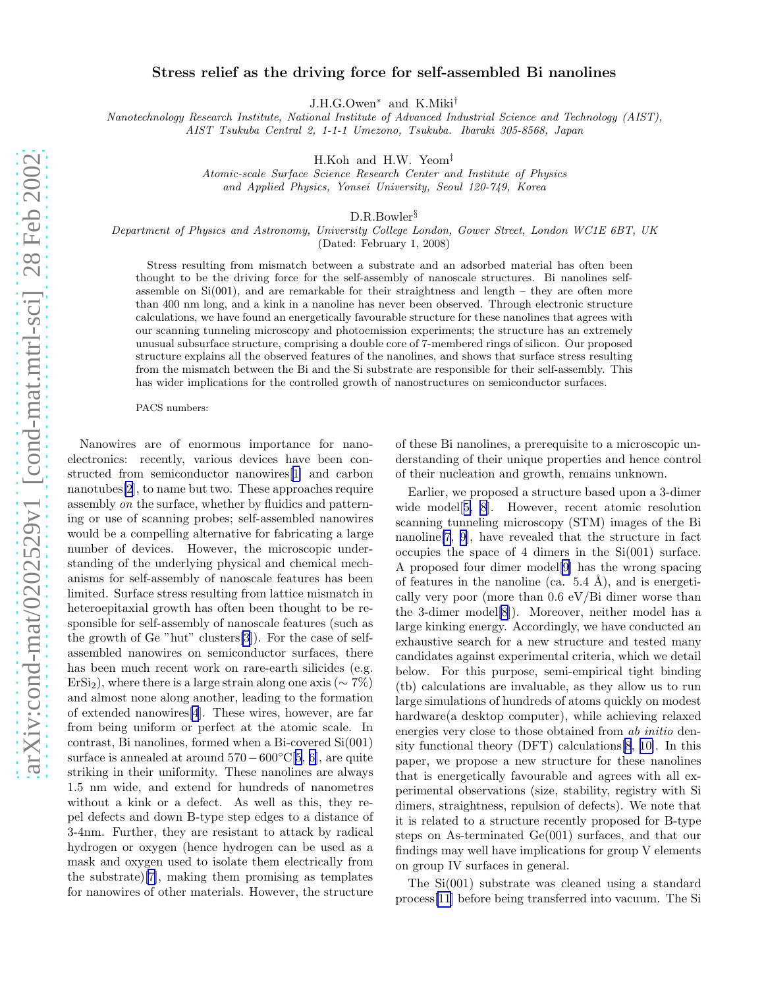## Stress relief as the driving force for self-assembled Bi nanolines

J.H.G.Owen<sup>∗</sup> and K.Miki†

Nanotechnology Research Institute, National Institute of Advanced Industrial Science and Technology (AIST), AIST Tsukuba Central 2, 1-1-1 Umezono, Tsukuba. Ibaraki 305-8568, Japan

H.Koh and H.W. Yeom‡

Atomic-scale Surface Science Research Center and Institute of Physics and Applied Physics, Yonsei University, Seoul 120-749, Korea

D.R.Bowler§

Department of Physics and Astronomy, University College London, Gower Street, London WC1E 6BT, UK (Dated: February 1, 2008)

Stress resulting from mismatch between a substrate and an adsorbed material has often been thought to be the driving force for the self-assembly of nanoscale structures. Bi nanolines selfassemble on  $Si(001)$ , and are remarkable for their straightness and length – they are often more than 400 nm long, and a kink in a nanoline has never been observed. Through electronic structure calculations, we have found an energetically favourable structure for these nanolines that agrees with our scanning tunneling microscopy and photoemission experiments; the structure has an extremely unusual subsurface structure, comprising a double core of 7-membered rings of silicon. Our proposed structure explains all the observed features of the nanolines, and shows that surface stress resulting from the mismatch between the Bi and the Si substrate are responsible for their self-assembly. This has wider implications for the controlled growth of nanostructures on semiconductor surfaces.

PACS numbers:

Nanowires are of enormous importance for nanoelectronics: recently, various devices have been constructed from semiconductor nanowires[[1\]](#page-3-0) and carbon nanotubes[\[2](#page-3-0)], to name but two. These approaches require assembly on the surface, whether by fluidics and patterning or use of scanning probes; self-assembled nanowires would be a compelling alternative for fabricating a large number of devices. However, the microscopic understanding of the underlying physical and chemical mechanisms for self-assembly of nanoscale features has been limited. Surface stress resulting from lattice mismatch in heteroepitaxial growth has often been thought to be responsible for self-assembly of nanoscale features (such as the growth of Ge "hut" clusters[\[3](#page-3-0)]). For the case of selfassembled nanowires on semiconductor surfaces, there has been much recent work on rare-earth silicides (e.g.  $ErSi<sub>2</sub>$ ), where there is a large strain along one axis ( $\sim 7\%$ ) and almost none along another, leading to the formation of extended nanowires[\[4](#page-3-0)]. These wires, however, are far from being uniform or perfect at the atomic scale. In contrast, Bi nanolines, formed when a Bi-covered Si(001) surface is annealed at around  $570-600°C[5, 6]$  $570-600°C[5, 6]$  $570-600°C[5, 6]$  $570-600°C[5, 6]$ , are quite striking in their uniformity. These nanolines are always 1.5 nm wide, and extend for hundreds of nanometres without a kink or a defect. As well as this, they repel defects and down B-type step edges to a distance of 3-4nm. Further, they are resistant to attack by radical hydrogen or oxygen (hence hydrogen can be used as a mask and oxygen used to isolate them electrically from the substrate)[[7\]](#page-3-0), making them promising as templates for nanowires of other materials. However, the structure

of these Bi nanolines, a prerequisite to a microscopic understanding of their unique properties and hence control of their nucleation and growth, remains unknown.

Earlier, we proposed a structure based upon a 3-dimer wide model<sup>[[5, 8](#page-3-0)]</sup>. However, recent atomic resolution scanning tunneling microscopy (STM) images of the Bi nanoline[\[7](#page-3-0), [9\]](#page-3-0), have revealed that the structure in fact occupies the space of 4 dimers in the Si(001) surface. A proposed four dimer model[\[9](#page-3-0)] has the wrong spacing of features in the nanoline (ca.  $5.4 \text{ Å}$ ), and is energetically very poor (more than 0.6 eV/Bi dimer worse than the 3-dimer model[\[8](#page-3-0)]). Moreover, neither model has a large kinking energy. Accordingly, we have conducted an exhaustive search for a new structure and tested many candidates against experimental criteria, which we detail below. For this purpose, semi-empirical tight binding (tb) calculations are invaluable, as they allow us to run large simulations of hundreds of atoms quickly on modest hardware(a desktop computer), while achieving relaxed energies very close to those obtained from ab initio density functional theory (DFT) calculations[\[8](#page-3-0), [10\]](#page-3-0). In this paper, we propose a new structure for these nanolines that is energetically favourable and agrees with all experimental observations (size, stability, registry with Si dimers, straightness, repulsion of defects). We note that it is related to a structure recently proposed for B-type steps on As-terminated Ge(001) surfaces, and that our findings may well have implications for group V elements on group IV surfaces in general.

The Si(001) substrate was cleaned using a standard process[\[11](#page-3-0)] before being transferred into vacuum. The Si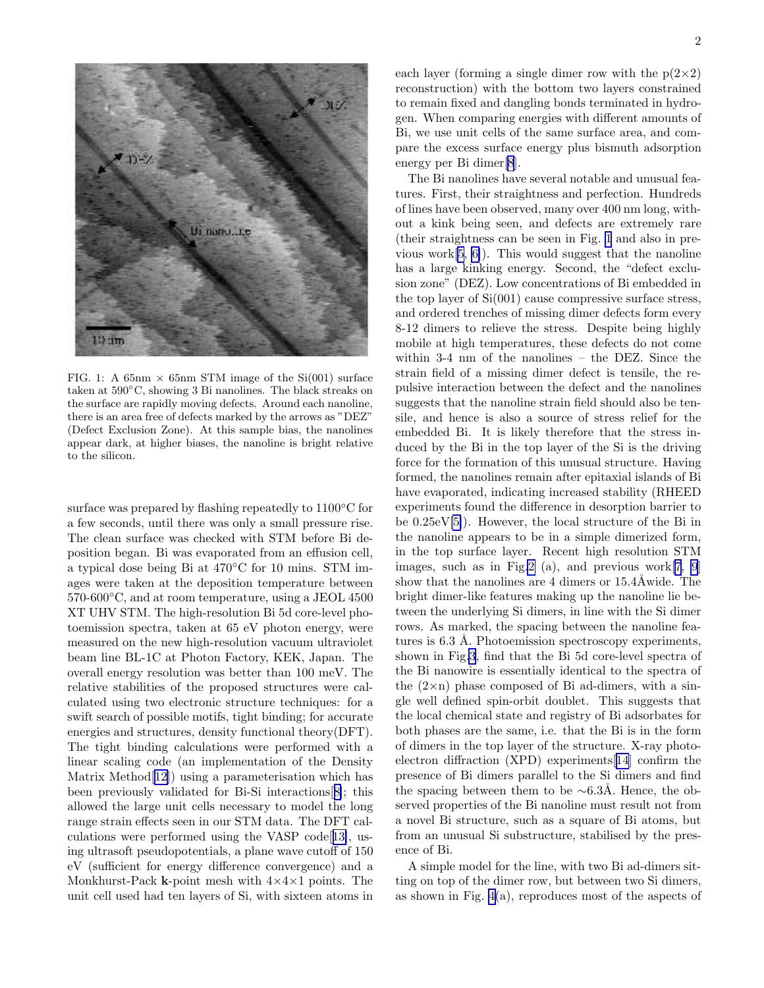

FIG. 1: A 65nm  $\times$  65nm STM image of the Si(001) surface taken at 590◦C, showing 3 Bi nanolines. The black streaks on the surface are rapidly moving defects. Around each nanoline, there is an area free of defects marked by the arrows as "DEZ" (Defect Exclusion Zone). At this sample bias, the nanolines appear dark, at higher biases, the nanoline is bright relative to the silicon.

surface was prepared by flashing repeatedly to 1100◦C for a few seconds, until there was only a small pressure rise. The clean surface was checked with STM before Bi deposition began. Bi was evaporated from an effusion cell, a typical dose being Bi at 470◦C for 10 mins. STM images were taken at the deposition temperature between 570-600◦C, and at room temperature, using a JEOL 4500 XT UHV STM. The high-resolution Bi 5d core-level photoemission spectra, taken at 65 eV photon energy, were measured on the new high-resolution vacuum ultraviolet beam line BL-1C at Photon Factory, KEK, Japan. The overall energy resolution was better than 100 meV. The relative stabilities of the proposed structures were calculated using two electronic structure techniques: for a swift search of possible motifs, tight binding; for accurate energies and structures, density functional theory(DFT). The tight binding calculations were performed with a linear scaling code (an implementation of the Density Matrix Method[[12](#page-3-0)]) using a parameterisation which has been previously validated for Bi-Si interactions[[8\]](#page-3-0); this allowed the large unit cells necessary to model the long range strain effects seen in our STM data. The DFT calculations were performed using the VASP code[[13\]](#page-3-0), using ultrasoft pseudopotentials, a plane wave cutoff of 150 eV (sufficient for energy difference convergence) and a Monkhurst-Pack **k**-point mesh with  $4 \times 4 \times 1$  points. The unit cell used had ten layers of Si, with sixteen atoms in each layer (forming a single dimer row with the  $p(2\times2)$ ) reconstruction) with the bottom two layers constrained to remain fixed and dangling bonds terminated in hydrogen. When comparing energies with different amounts of Bi, we use unit cells of the same surface area, and compare the excess surface energy plus bismuth adsorption energy per Bi dimer[\[8](#page-3-0)].

The Bi nanolines have several notable and unusual features. First, their straightness and perfection. Hundreds of lines have been observed, many over 400 nm long, without a kink being seen, and defects are extremely rare (their straightness can be seen in Fig. 1 and also in previous work[\[5](#page-3-0), [6\]](#page-3-0)). This would suggest that the nanoline has a large kinking energy. Second, the "defect exclusion zone" (DEZ). Low concentrations of Bi embedded in the top layer of Si(001) cause compressive surface stress, and ordered trenches of missing dimer defects form every 8-12 dimers to relieve the stress. Despite being highly mobile at high temperatures, these defects do not come within 3-4 nm of the nanolines – the DEZ. Since the strain field of a missing dimer defect is tensile, the repulsive interaction between the defect and the nanolines suggests that the nanoline strain field should also be tensile, and hence is also a source of stress relief for the embedded Bi. It is likely therefore that the stress induced by the Bi in the top layer of the Si is the driving force for the formation of this unusual structure. Having formed, the nanolines remain after epitaxial islands of Bi have evaporated, indicating increased stability (RHEED experiments found the difference in desorption barrier to be 0.25eV[\[5\]](#page-3-0)). However, the local structure of the Bi in the nanoline appears to be in a simple dimerized form, in the top surface layer. Recent high resolution STM images, such as in Fig[.2](#page-2-0) (a), and previous work $[7, 9]$  $[7, 9]$  $[7, 9]$  $[7, 9]$ show that the nanolines are 4 dimers or  $15.4\text{\AA}$  wide. The bright dimer-like features making up the nanoline lie between the underlying Si dimers, in line with the Si dimer rows. As marked, the spacing between the nanoline features is 6.3 Å. Photoemission spectroscopy experiments, shown in Fig[.3](#page-2-0), find that the Bi 5d core-level spectra of the Bi nanowire is essentially identical to the spectra of the  $(2 \times n)$  phase composed of Bi ad-dimers, with a single well defined spin-orbit doublet. This suggests that the local chemical state and registry of Bi adsorbates for both phases are the same, i.e. that the Bi is in the form of dimers in the top layer of the structure. X-ray photoelectron diffraction (XPD) experiments[\[14](#page-3-0)] confirm the presence of Bi dimers parallel to the Si dimers and find the spacing between them to be  $~\sim 6.3$ Å. Hence, the observed properties of the Bi nanoline must result not from a novel Bi structure, such as a square of Bi atoms, but from an unusual Si substructure, stabilised by the presence of Bi.

A simple model for the line, with two Bi ad-dimers sitting on top of the dimer row, but between two Si dimers, as shown in Fig. [4\(](#page-3-0)a), reproduces most of the aspects of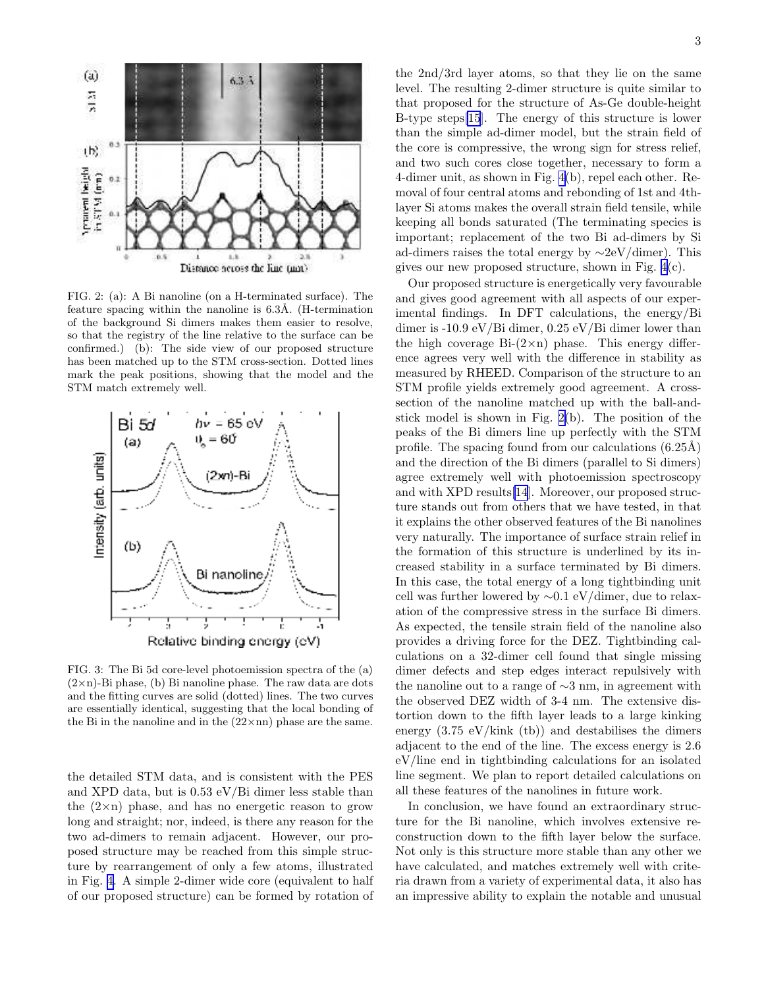<span id="page-2-0"></span>

FIG. 2: (a): A Bi nanoline (on a H-terminated surface). The feature spacing within the nanoline is  $6.3\text{\AA}$ . (H-termination of the background Si dimers makes them easier to resolve, so that the registry of the line relative to the surface can be confirmed.) (b): The side view of our proposed structure has been matched up to the STM cross-section. Dotted lines mark the peak positions, showing that the model and the STM match extremely well.



FIG. 3: The Bi 5d core-level photoemission spectra of the (a) (2×n)-Bi phase, (b) Bi nanoline phase. The raw data are dots and the fitting curves are solid (dotted) lines. The two curves are essentially identical, suggesting that the local bonding of the Bi in the nanoline and in the  $(22 \times nn)$  phase are the same.

the detailed STM data, and is consistent with the PES and XPD data, but is 0.53 eV/Bi dimer less stable than the  $(2 \times n)$  phase, and has no energetic reason to grow long and straight; nor, indeed, is there any reason for the two ad-dimers to remain adjacent. However, our proposed structure may be reached from this simple structure by rearrangement of only a few atoms, illustrated in Fig. [4.](#page-3-0) A simple 2-dimer wide core (equivalent to half of our proposed structure) can be formed by rotation of

the 2nd/3rd layer atoms, so that they lie on the same level. The resulting 2-dimer structure is quite similar to that proposed for the structure of As-Ge double-height B-type steps[\[15](#page-3-0)]. The energy of this structure is lower than the simple ad-dimer model, but the strain field of the core is compressive, the wrong sign for stress relief, and two such cores close together, necessary to form a 4-dimer unit, as shown in Fig. [4\(](#page-3-0)b), repel each other. Removal of four central atoms and rebonding of 1st and 4thlayer Si atoms makes the overall strain field tensile, while keeping all bonds saturated (The terminating species is important; replacement of the two Bi ad-dimers by Si ad-dimers raises the total energy by ∼2eV/dimer). This gives our new proposed structure, shown in Fig. [4\(](#page-3-0)c).

Our proposed structure is energetically very favourable and gives good agreement with all aspects of our experimental findings. In DFT calculations, the energy/Bi dimer is -10.9 eV/Bi dimer, 0.25 eV/Bi dimer lower than the high coverage  $Bi-(2\times n)$  phase. This energy difference agrees very well with the difference in stability as measured by RHEED. Comparison of the structure to an STM profile yields extremely good agreement. A crosssection of the nanoline matched up with the ball-andstick model is shown in Fig. 2(b). The position of the peaks of the Bi dimers line up perfectly with the STM profile. The spacing found from our calculations  $(6.25\text{\AA})$ and the direction of the Bi dimers (parallel to Si dimers) agree extremely well with photoemission spectroscopy and with XPD results[\[14](#page-3-0)]. Moreover, our proposed structure stands out from others that we have tested, in that it explains the other observed features of the Bi nanolines very naturally. The importance of surface strain relief in the formation of this structure is underlined by its increased stability in a surface terminated by Bi dimers. In this case, the total energy of a long tightbinding unit cell was further lowered by ∼0.1 eV/dimer, due to relaxation of the compressive stress in the surface Bi dimers. As expected, the tensile strain field of the nanoline also provides a driving force for the DEZ. Tightbinding calculations on a 32-dimer cell found that single missing dimer defects and step edges interact repulsively with the nanoline out to a range of ∼3 nm, in agreement with the observed DEZ width of 3-4 nm. The extensive distortion down to the fifth layer leads to a large kinking energy  $(3.75 \text{ eV}/\text{kink}$  (tb)) and destabilises the dimers adjacent to the end of the line. The excess energy is 2.6 eV/line end in tightbinding calculations for an isolated line segment. We plan to report detailed calculations on all these features of the nanolines in future work.

In conclusion, we have found an extraordinary structure for the Bi nanoline, which involves extensive reconstruction down to the fifth layer below the surface. Not only is this structure more stable than any other we have calculated, and matches extremely well with criteria drawn from a variety of experimental data, it also has an impressive ability to explain the notable and unusual